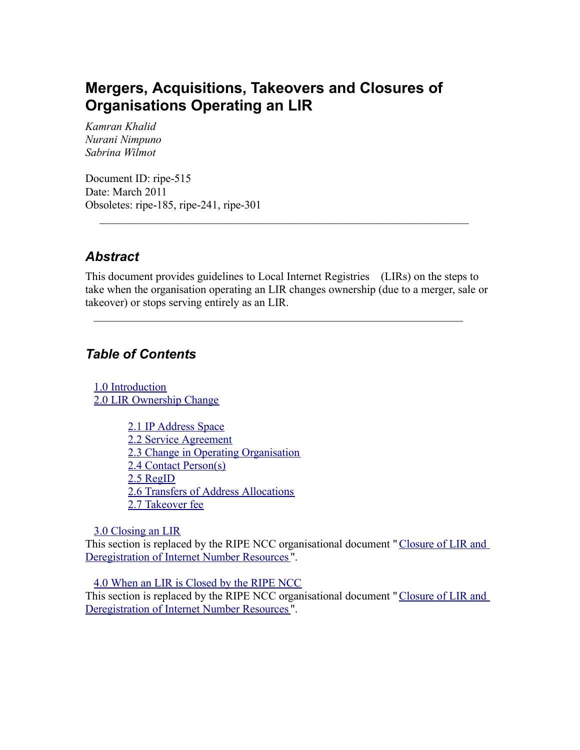# **Mergers, Acquisitions, Takeovers and Closures of Organisations Operating an LIR**

*Kamran Khalid Nurani Nimpuno Sabrina Wilmot*

Document ID: ripe-515 Date: March 2011 Obsoletes: ripe-185, ripe-241, ripe-301

#### *Abstract*

This document provides guidelines to Local Internet Registries (LIRs) on the steps to take when the organisation operating an LIR changes ownership (due to a merger, sale or takeover) or stops serving entirely as an LIR.

 $\mathcal{L}_\text{max}$  , and the contribution of the contribution of the contribution of the contribution of the contribution of the contribution of the contribution of the contribution of the contribution of the contribution of t

 $\mathcal{L}_\text{max}$  , and the contribution of the contribution of the contribution of the contribution of the contribution of the contribution of the contribution of the contribution of the contribution of the contribution of t

#### *Table of Contents*

1.0 [Introduction](#page-0-9) 2.0 LIR [Ownership](#page-2-0) Change

> <span id="page-0-9"></span><span id="page-0-8"></span><span id="page-0-7"></span><span id="page-0-6"></span><span id="page-0-5"></span><span id="page-0-4"></span><span id="page-0-3"></span><span id="page-0-2"></span>2.1 IP [Address](#page-0-8) Space 2.2 Service [Agreement](#page-0-7) 2.3 Change in Operating [Organisation](#page-0-6) 2.4 Contact [Person\(s\)](#page-0-5) 2.5 [RegID](#page-0-4) 2.6 Transfers of Address [Allocations](#page-0-3) 2.7 [Takeover](#page-0-2) fee

<span id="page-0-1"></span><span id="page-0-0"></span>3.0 [Closing](#page-0-1) an LIR

This section is replaced by the RIPE NCC organisational document "[Closure](https://www.ripe.net/ripe/docs/closure) of LIR and [Deregistration](https://www.ripe.net/ripe/docs/closure) of Internet Number Resources ".

4.0 When an LIR is [Closed](#page-0-0) by the RIPE NCC This section is replaced by the RIPE NCC organisational document "[Closure](https://www.ripe.net/ripe/docs/closure) of LIR and [Deregistration](https://www.ripe.net/ripe/docs/closure) of Internet Number Resources ".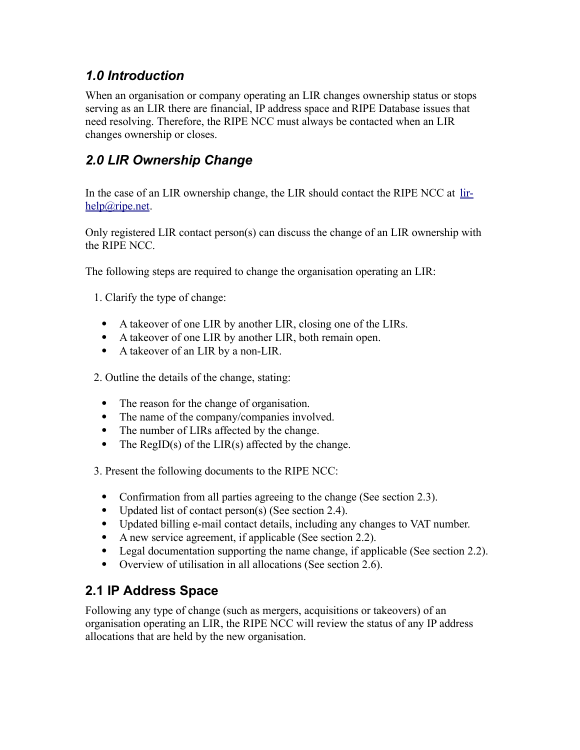### *1.0 Introduction*

When an organisation or company operating an LIR changes ownership status or stops serving as an LIR there are financial, IP address space and RIPE Database issues that need resolving. Therefore, the RIPE NCC must always be contacted when an LIR changes ownership or closes.

## *2.0 LIR Ownership Change*

In the case of an LIR ownership change, the LIR should contact the RIPE NCC at [lir](mailto:lir-help@ripe.net)[help@ripe.net.](mailto:lir-help@ripe.net)

Only registered LIR contact person(s) can discuss the change of an LIR ownership with the RIPE NCC.

The following steps are required to change the organisation operating an LIR:

1. Clarify the type of change:

- A takeover of one LIR by another LIR, closing one of the LIRs.
- A takeover of one LIR by another LIR, both remain open.
- A takeover of an LIR by a non-LIR.

2. Outline the details of the change, stating:

- The reason for the change of organisation.
- The name of the company/companies involved.
- The number of LIRs affected by the change.
- The RegID(s) of the LIR(s) affected by the change.

3. Present the following documents to the RIPE NCC:

- Confirmation from all parties agreeing to the change (See section 2.3).
- Updated list of contact person(s) (See section 2.4).
- Updated billing e-mail contact details, including any changes to VAT number.
- A new service agreement, if applicable (See section 2.2).
- Legal documentation supporting the name change, if applicable (See section 2.2).
- Overview of utilisation in all allocations (See section 2.6).

### **2.1 IP Address Space**

Following any type of change (such as mergers, acquisitions or takeovers) of an organisation operating an LIR, the RIPE NCC will review the status of any IP address allocations that are held by the new organisation.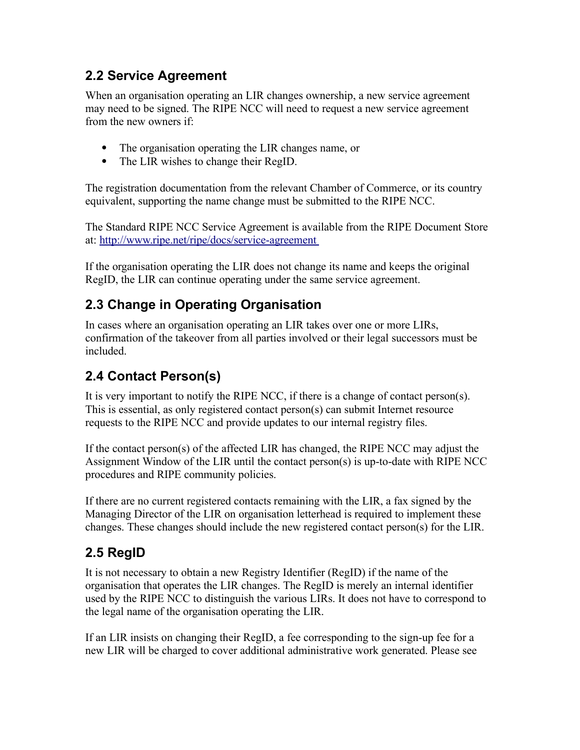### <span id="page-2-0"></span>**2.2 Service Agreement**

When an organisation operating an LIR changes ownership, a new service agreement may need to be signed. The RIPE NCC will need to request a new service agreement from the new owners if:

- The organisation operating the LIR changes name, or
- The LIR wishes to change their RegID.

The registration documentation from the relevant Chamber of Commerce, or its country equivalent, supporting the name change must be submitted to the RIPE NCC.

The Standard RIPE NCC Service Agreement is available from the RIPE Document Store at: <http://www.ripe.net/ripe/docs/service-agreement>

If the organisation operating the LIR does not change its name and keeps the original RegID, the LIR can continue operating under the same service agreement.

### **2.3 Change in Operating Organisation**

In cases where an organisation operating an LIR takes over one or more LIRs, confirmation of the takeover from all parties involved or their legal successors must be included.

### **2.4 Contact Person(s)**

It is very important to notify the RIPE NCC, if there is a change of contact person(s). This is essential, as only registered contact person(s) can submit Internet resource requests to the RIPE NCC and provide updates to our internal registry files.

If the contact person(s) of the affected LIR has changed, the RIPE NCC may adjust the Assignment Window of the LIR until the contact person(s) is up-to-date with RIPE NCC procedures and RIPE community policies.

If there are no current registered contacts remaining with the LIR, a fax signed by the Managing Director of the LIR on organisation letterhead is required to implement these changes. These changes should include the new registered contact person(s) for the LIR.

## **2.5 RegID**

It is not necessary to obtain a new Registry Identifier (RegID) if the name of the organisation that operates the LIR changes. The RegID is merely an internal identifier used by the RIPE NCC to distinguish the various LIRs. It does not have to correspond to the legal name of the organisation operating the LIR.

If an LIR insists on changing their RegID, a fee corresponding to the sign-up fee for a new LIR will be charged to cover additional administrative work generated. Please see